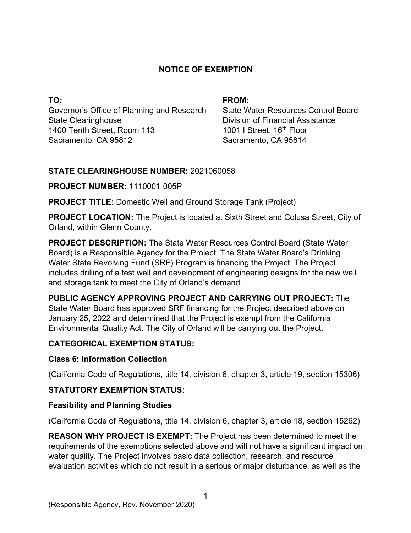### **NOTICE OF EXEMPTION**

**TO:**  Governor's Office of Planning and Research State Clearinghouse 1400 Tenth Street, Room 113 Sacramento, CA 95812

#### **FROM:**

State Water Resources Control Board Division of Financial Assistance 1001 I Street, 16<sup>th</sup> Floor Sacramento, CA 95814

### **STATE CLEARINGHOUSE NUMBER:** 2021060058

### **PROJECT NUMBER:** 1110001-005P

**PROJECT TITLE:** Domestic Well and Ground Storage Tank (Project)

**PROJECT LOCATION:** The Project is located at Sixth Street and Colusa Street, City of Orland, within Glenn County.

**PROJECT DESCRIPTION:** The State Water Resources Control Board (State Water Board) is a Responsible Agency for the Project. The State Water Board's Drinking Water State Revolving Fund (SRF) Program is financing the Project. The Project includes drilling of a test well and development of engineering designs for the new well and storage tank to meet the City of Orland's demand.

**PUBLIC AGENCY APPROVING PROJECT AND CARRYING OUT PROJECT:** The State Water Board has approved SRF financing for the Project described above on January 25, 2022 and determined that the Project is exempt from the California Environmental Quality Act. The City of Orland will be carrying out the Project.

# **CATEGORICAL EXEMPTION STATUS:**

### **Class 6: Information Collection**

(California Code of Regulations, title 14, division 6, chapter 3, article 19, section 15306)

# **STATUTORY EXEMPTION STATUS:**

### **Feasibility and Planning Studies**

(California Code of Regulations, title 14, division 6, chapter 3, article 18, section 15262)

**REASON WHY PROJECT IS EXEMPT:** The Project has been determined to meet the requirements of the exemptions selected above and will not have a significant impact on water quality. The Project involves basic data collection, research, and resource evaluation activities which do not result in a serious or major disturbance, as well as the